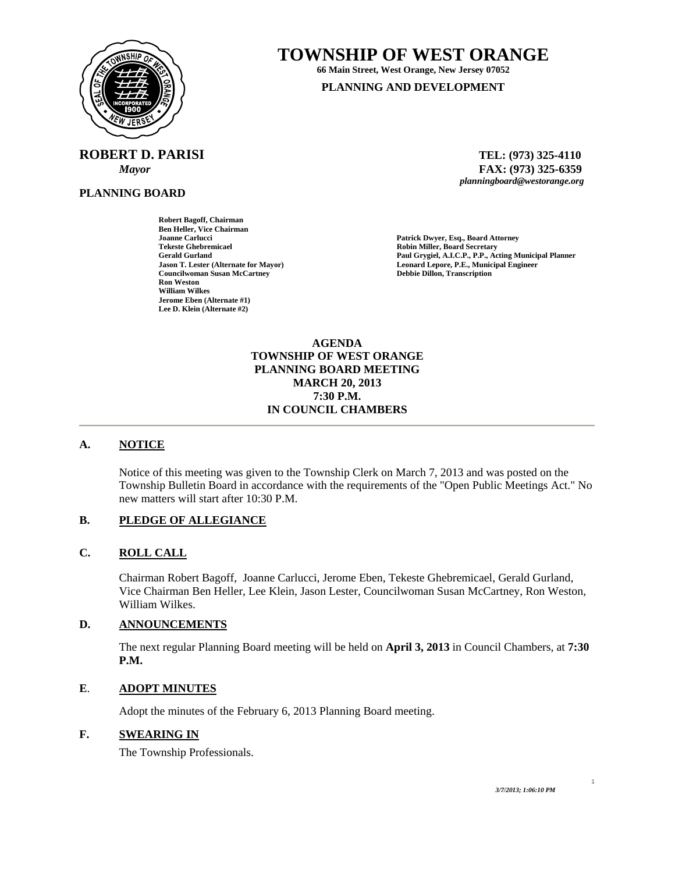

**ROBERT D. PARISI TEL: (973) 325-4110** 

**PLANNING BOARD**

**Robert Bagoff, Chairman Ben Heller, Vice Chairman Joanne Carlucci Patrick Dwyer, Esq., Board Attorney Tekeste Ghebremicael and Secretary Center of Contract Center Secretary Robin Miller, Board Secretary Center of Contract Center Secretary Paul Grygiel, A.I.C.P., P.P., Act Councilwoman Susan McCartney Ron Weston William Wilkes Jerome Eben (Alternate #1) Lee D. Klein (Alternate #2)** 

# **TOWNSHIP OF WEST ORANGE**

**66 Main Street, West Orange, New Jersey 07052 PLANNING AND DEVELOPMENT**

 *Mayor* **FAX: (973) 325-6359** *planningboard@westorange.org* 

**Gerald Gurland Paul Grygiel, A.I.C.P., P.P., Acting Municipal Planner** Leonard Lepore, P.E., Municipal Engineer<br>Debbie Dillon, Transcription

#### **AGENDA TOWNSHIP OF WEST ORANGE PLANNING BOARD MEETING MARCH 20, 2013 7:30 P.M. IN COUNCIL CHAMBERS**

## **A. NOTICE**

Notice of this meeting was given to the Township Clerk on March 7, 2013 and was posted on the Township Bulletin Board in accordance with the requirements of the "Open Public Meetings Act." No new matters will start after 10:30 P.M.

## **B. PLEDGE OF ALLEGIANCE**

## **C. ROLL CALL**

Chairman Robert Bagoff, Joanne Carlucci, Jerome Eben, Tekeste Ghebremicael, Gerald Gurland, Vice Chairman Ben Heller, Lee Klein, Jason Lester, Councilwoman Susan McCartney, Ron Weston, William Wilkes.

## **D. ANNOUNCEMENTS**

The next regular Planning Board meeting will be held on **April 3, 2013** in Council Chambers, at **7:30 P.M.** 

## **E**. **ADOPT MINUTES**

Adopt the minutes of the February 6, 2013 Planning Board meeting.

## **F. SWEARING IN**

The Township Professionals.

1